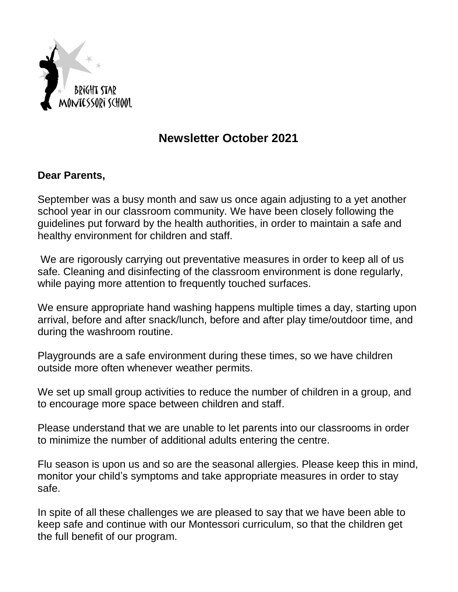

# **Newsletter October 2021**

#### **Dear Parents,**

September was a busy month and saw us once again adjusting to a yet another school year in our classroom community. We have been closely following the guidelines put forward by the health authorities, in order to maintain a safe and healthy environment for children and staff.

We are rigorously carrying out preventative measures in order to keep all of us safe. Cleaning and disinfecting of the classroom environment is done regularly, while paying more attention to frequently touched surfaces.

We ensure appropriate hand washing happens multiple times a day, starting upon arrival, before and after snack/lunch, before and after play time/outdoor time, and during the washroom routine.

Playgrounds are a safe environment during these times, so we have children outside more often whenever weather permits.

We set up small group activities to reduce the number of children in a group, and to encourage more space between children and staff.

Please understand that we are unable to let parents into our classrooms in order to minimize the number of additional adults entering the centre.

Flu season is upon us and so are the seasonal allergies. Please keep this in mind, monitor your child's symptoms and take appropriate measures in order to stay safe.

In spite of all these challenges we are pleased to say that we have been able to keep safe and continue with our Montessori curriculum, so that the children get the full benefit of our program.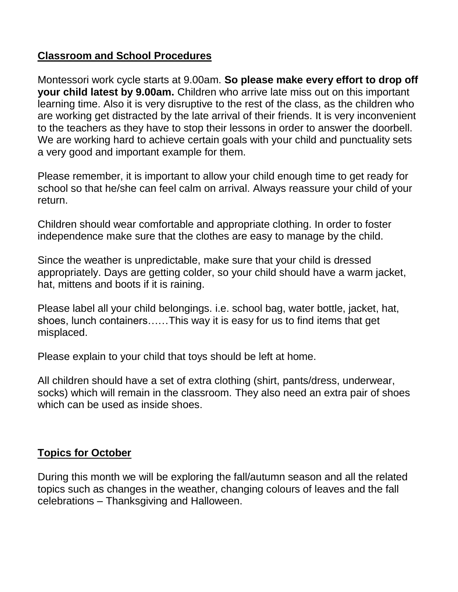### **Classroom and School Procedures**

Montessori work cycle starts at 9.00am. **So please make every effort to drop off your child latest by 9.00am.** Children who arrive late miss out on this important learning time. Also it is very disruptive to the rest of the class, as the children who are working get distracted by the late arrival of their friends. It is very inconvenient to the teachers as they have to stop their lessons in order to answer the doorbell. We are working hard to achieve certain goals with your child and punctuality sets a very good and important example for them.

Please remember, it is important to allow your child enough time to get ready for school so that he/she can feel calm on arrival. Always reassure your child of your return.

Children should wear comfortable and appropriate clothing. In order to foster independence make sure that the clothes are easy to manage by the child.

Since the weather is unpredictable, make sure that your child is dressed appropriately. Days are getting colder, so your child should have a warm jacket, hat, mittens and boots if it is raining.

Please label all your child belongings. i.e. school bag, water bottle, jacket, hat, shoes, lunch containers……This way it is easy for us to find items that get misplaced.

Please explain to your child that toys should be left at home.

All children should have a set of extra clothing (shirt, pants/dress, underwear, socks) which will remain in the classroom. They also need an extra pair of shoes which can be used as inside shoes.

# **Topics for October**

During this month we will be exploring the fall/autumn season and all the related topics such as changes in the weather, changing colours of leaves and the fall celebrations – Thanksgiving and Halloween.